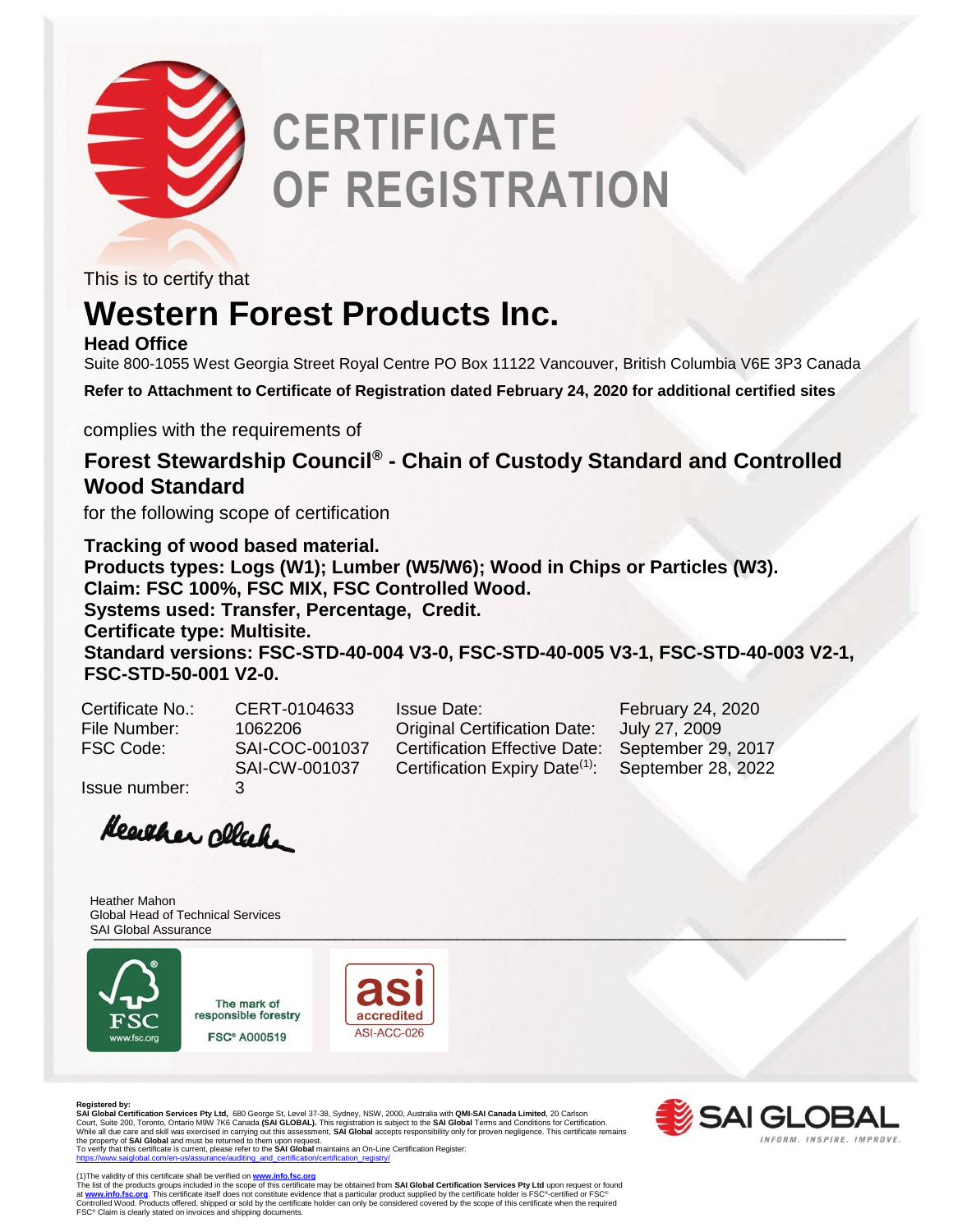

# **CERTIFICATE OF REGISTRATION**

This is to certify that

## **Western Forest Products Inc.**

#### **Head Office**

Suite 800-1055 West Georgia Street Royal Centre PO Box 11122 Vancouver, British Columbia V6E 3P3 Canada

**Refer to Attachment to Certificate of Registration dated February 24, 2020 for additional certified sites**

complies with the requirements of

### **Forest Stewardship Council® - Chain of Custody Standard and Controlled Wood Standard**

for the following scope of certification

**Tracking of wood based material. Products types: Logs (W1); Lumber (W5/W6); Wood in Chips or Particles (W3). Claim: FSC 100%, FSC MIX, FSC Controlled Wood. Systems used: Transfer, Percentage, Credit. Certificate type: Multisite. Standard versions: FSC-STD-40-004 V3-0, FSC-STD-40-005 V3-1, FSC-STD-40-003 V2-1, FSC-STD-50-001 V2-0.** 

Certificate No.: CERT-0104633 Issue Date: February 24, 2020 File Number: 1062206 Original Certification Date: July 27, 2009 FSC Code: SAI-COC-001037 Certification Effective Date: September 29, 2017 SAI-CW-001037 Certification Expiry Date(1): September 28, 2022

Issue number: 3

Heather click

\_\_\_\_\_\_\_\_\_\_\_\_\_\_\_\_\_\_\_\_\_\_\_\_\_\_\_\_\_\_\_\_\_\_\_\_\_\_\_\_\_\_\_\_\_\_\_\_\_\_\_\_\_\_\_\_\_\_\_\_\_\_\_\_\_\_\_\_\_\_\_\_\_\_\_\_\_\_\_\_\_\_\_\_\_\_\_ SAI Global AssuranceHeather Mahon Global Head of Technical Services



The mark of responsible forestry FSC<sup>®</sup> A000519



 $\sim$   $\sim$ 

**Registered by: SAI Global Certification Services Pty Ltd,** 680 George St, Level 37-38, Sydney, NSW, 2000, Australia with **QMI-SAI Canada Limited**, 20 Carlson Court, Suite 200, Toronto, Ontario M9W 7K6 Canada **(SAI GLOBAL).** This registration is subject to the **SAI Global** Terms and Conditions for Certification.<br>While all due care and skill was exercised in carrying out this ass the property of **SAI Global** and must be returned to them upon request. To verify that this certificate is current, please refer to the **SAI Global** maintains an On-Line Certification Register:

**EX SAIGLOB** INFORM, INSPIRE, IMPROVE.

[https://www.saiglobal.com/en-us/assurance/auditing\\_and\\_certification/certification\\_registry/](http://www.qmi-saiglobal.com/qmi_companies)

(1)The validity of this certificate shall be verified on <u>[www.info.fsc.org](http://www.info.fsc.org/)</u><br>The list of the products groups included in the scope of this certificate may be obtained from **SAI Global Certification Services Pty Ltd** upon re